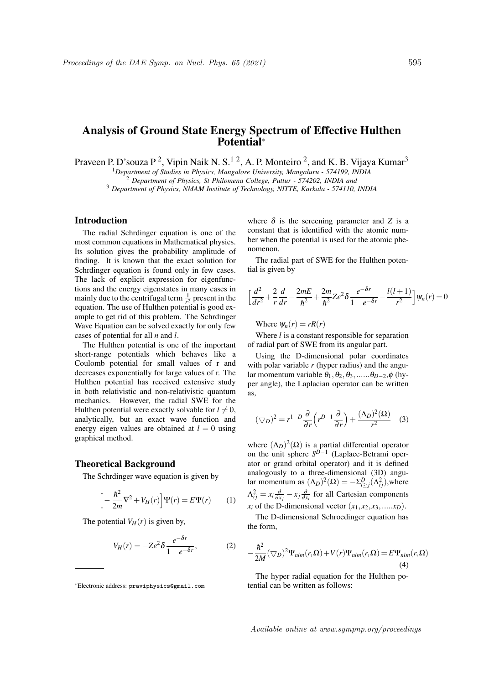# Analysis of Ground State Energy Spectrum of Effective Hulthen Potential<sup>∗</sup>

Praveen P. D'souza P<sup>2</sup>, Vipin Naik N. S.<sup>12</sup>, A. P. Monteiro<sup>2</sup>, and K. B. Vijaya Kumar<sup>3</sup>

<sup>1</sup>*Department of Studies in Physics, Mangalore University, Mangaluru - 574199, INDIA*

<sup>2</sup> *Department of Physics, St Philomena College, Puttur - 574202, INDIA and*

<sup>3</sup> *Department of Physics, NMAM Institute of Technology, NITTE, Karkala - 574110, INDIA*

## Introduction

The radial Schrdinger equation is one of the most common equations in Mathematical physics. Its solution gives the probability amplitude of finding. It is known that the exact solution for Schrdinger equation is found only in few cases. The lack of explicit expression for eigenfunctions and the energy eigenstates in many cases in mainly due to the centrifugal term  $\frac{1}{r^2}$  present in the equation. The use of Hulthen potential is good example to get rid of this problem. The Schrdinger Wave Equation can be solved exactly for only few cases of potential for all *n* and *l*.

The Hulthen potential is one of the important short-range potentials which behaves like a Coulomb potential for small values of r and decreases exponentially for large values of r. The Hulthen potential has received extensive study in both relativistic and non-relativistic quantum mechanics. However, the radial SWE for the Hulthen potential were exactly solvable for  $l \neq 0$ , analytically, but an exact wave function and energy eigen values are obtained at  $l = 0$  using graphical method.

#### Theoretical Background

The Schrdinger wave equation is given by

$$
\[ -\frac{\hbar^2}{2m} \nabla^2 + V_H(r) \] \Psi(r) = E \Psi(r) \tag{1}
$$

The potential  $V_H(r)$  is given by,

$$
V_H(r) = -Ze^2 \delta \frac{e^{-\delta r}}{1 - e^{-\delta r}},
$$
 (2)

where  $\delta$  is the screening parameter and *Z* is a constant that is identified with the atomic number when the potential is used for the atomic phenomenon.

The radial part of SWE for the Hulthen potential is given by

$$
\left[\frac{d^2}{dr^2} + \frac{2}{r}\frac{d}{dr} - \frac{2mE}{\hbar^2} + \frac{2m}{\hbar^2}Ze^2\delta \frac{e^{-\delta r}}{1 - e^{-\delta r}} - \frac{l(l+1)}{r^2}\right]\psi_n(r) = 0
$$

Where  $\psi_n(r) = rR(r)$ 

Where *l* is a constant responsible for separation of radial part of SWE from its angular part.

Using the D-dimensional polar coordinates with polar variable *r* (hyper radius) and the angular momentum variable  $\theta_1, \theta_2, \theta_3, \ldots, \theta_{D-2}, \phi$  (hyper angle), the Laplacian operator can be written as,

$$
(\nabla_D)^2 = r^{1-D} \frac{\partial}{\partial r} \left( r^{D-1} \frac{\partial}{\partial r} \right) + \frac{(\Lambda_D)^2(\Omega)}{r^2} \quad (3)
$$

where  $(\Lambda_D)^2(\Omega)$  is a partial differential operator on the unit sphere  $S^{D-1}$  (Laplace-Betrami operator or grand orbital operator) and it is defined analogously to a three-dimensional (3D) angular momentum as  $(\Lambda_D)^2(\Omega) = -\Sigma_{i \geq j}^D(\Lambda_{ij}^2)$ , where  $\Lambda_{ij}^2 = x_i \frac{\partial}{\partial x_j} - x_j \frac{\partial}{\partial x_i}$  for all Cartesian components  $x_i$  of the D-dimensional vector  $(x_1, x_2, x_3, \ldots, x_D)$ .

The D-dimensional Schroedinger equation has the form,

$$
-\frac{\hbar^2}{2M}(\bigtriangledown_D)^2\Psi_{nlm}(r,\Omega) + V(r)\Psi_{nlm}(r,\Omega) = E\Psi_{nlm}(r,\Omega)
$$
\n(4)

The hyper radial equation for the Hulthen potential can be written as follows:

<sup>∗</sup>Electronic address: praviphysics@gmail.com